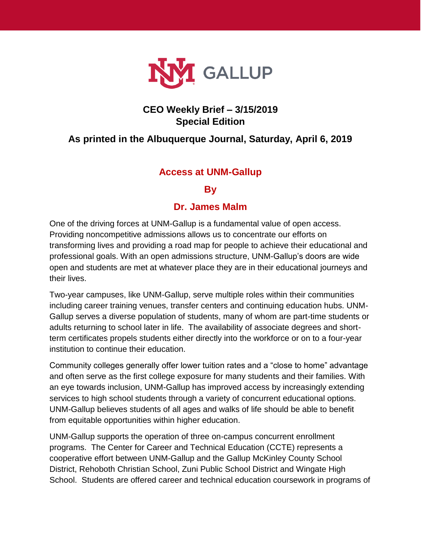

## **CEO Weekly Brief – 3/15/2019 Special Edition**

# **As printed in the Albuquerque Journal, Saturday, April 6, 2019**

### **Access at UNM-Gallup**

#### **By**

#### **Dr. James Malm**

One of the driving forces at UNM-Gallup is a fundamental value of open access. Providing noncompetitive admissions allows us to concentrate our efforts on transforming lives and providing a road map for people to achieve their educational and professional goals. With an open admissions structure, UNM-Gallup's doors are wide open and students are met at whatever place they are in their educational journeys and their lives.

Two-year campuses, like UNM-Gallup, serve multiple roles within their communities including career training venues, transfer centers and continuing education hubs. UNM-Gallup serves a diverse population of students, many of whom are part-time students or adults returning to school later in life. The availability of associate degrees and shortterm certificates propels students either directly into the workforce or on to a four-year institution to continue their education.

Community colleges generally offer lower tuition rates and a "close to home" advantage and often serve as the first college exposure for many students and their families. With an eye towards inclusion, UNM-Gallup has improved access by increasingly extending services to high school students through a variety of concurrent educational options. UNM-Gallup believes students of all ages and walks of life should be able to benefit from equitable opportunities within higher education.

UNM-Gallup supports the operation of three on-campus concurrent enrollment programs. The Center for Career and Technical Education (CCTE) represents a cooperative effort between UNM-Gallup and the Gallup McKinley County School District, Rehoboth Christian School, Zuni Public School District and Wingate High School. Students are offered career and technical education coursework in programs of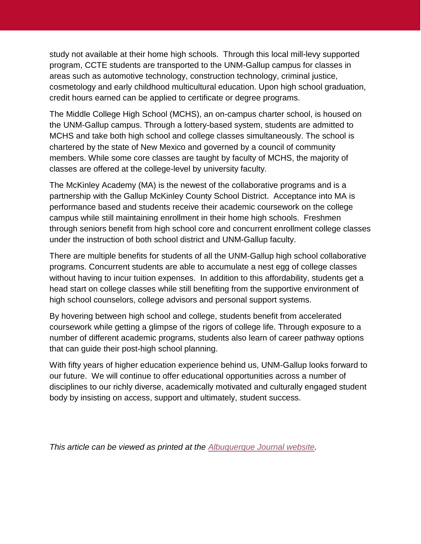study not available at their home high schools. Through this local mill-levy supported program, CCTE students are transported to the UNM-Gallup campus for classes in areas such as automotive technology, construction technology, criminal justice, cosmetology and early childhood multicultural education. Upon high school graduation, credit hours earned can be applied to certificate or degree programs.

The Middle College High School (MCHS), an on-campus charter school, is housed on the UNM-Gallup campus. Through a lottery-based system, students are admitted to MCHS and take both high school and college classes simultaneously. The school is chartered by the state of New Mexico and governed by a council of community members. While some core classes are taught by faculty of MCHS, the majority of classes are offered at the college-level by university faculty.

The McKinley Academy (MA) is the newest of the collaborative programs and is a partnership with the Gallup McKinley County School District. Acceptance into MA is performance based and students receive their academic coursework on the college campus while still maintaining enrollment in their home high schools. Freshmen through seniors benefit from high school core and concurrent enrollment college classes under the instruction of both school district and UNM-Gallup faculty.

There are multiple benefits for students of all the UNM-Gallup high school collaborative programs. Concurrent students are able to accumulate a nest egg of college classes without having to incur tuition expenses. In addition to this affordability, students get a head start on college classes while still benefiting from the supportive environment of high school counselors, college advisors and personal support systems.

By hovering between high school and college, students benefit from accelerated coursework while getting a glimpse of the rigors of college life. Through exposure to a number of different academic programs, students also learn of career pathway options that can guide their post-high school planning.

With fifty years of higher education experience behind us, UNM-Gallup looks forward to our future. We will continue to offer educational opportunities across a number of disciplines to our richly diverse, academically motivated and culturally engaged student body by insisting on access, support and ultimately, student success.

*This article can be viewed as printed at the Albuquerque [Journal website.](http://ejournal.abqjournal.com/infinity/article_popover_share.aspx?guid=2575646c-a7ea-42b9-9acb-793e4ff7c318)*